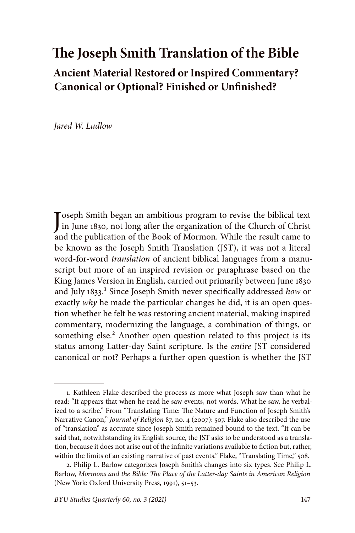# **The Joseph Smith Translation of the Bible Ancient Material Restored or Inspired Commentary? Canonical or Optional? Finished or Unfinished?**

*Jared W. Ludlow*

Joseph Smith began an ambitious program to revise the biblical text<br>in June 1830, not long after the organization of the Church of Christ<br>and the biblical text of the biblical text of the biblical text of the biblical text in June 1830, not long after the organization of the Church of Christ and the publication of the Book of Mormon. While the result came to be known as the Joseph Smith Translation (JST), it was not a literal word-for-word *translation* of ancient biblical languages from a manuscript but more of an inspired revision or paraphrase based on the King James Version in English, carried out primarily between June 1830 and July 1833.1 Since Joseph Smith never specifically addressed *how* or exactly *why* he made the particular changes he did, it is an open question whether he felt he was restoring ancient material, making inspired commentary, modernizing the language, a combination of things, or something else.<sup>2</sup> Another open question related to this project is its status among Latter-day Saint scripture. Is the *entire* JST considered canonical or not? Perhaps a further open question is whether the JST

<sup>1.</sup> Kathleen Flake described the process as more what Joseph saw than what he read: "It appears that when he read he saw events, not words. What he saw, he verbalized to a scribe." From "Translating Time: The Nature and Function of Joseph Smith's Narrative Canon," *Journal of Religion* 87, no. 4 (2007): 507. Flake also described the use of "translation" as accurate since Joseph Smith remained bound to the text. "It can be said that, notwithstanding its English source, the JST asks to be understood as a translation, because it does not arise out of the infinite variations available to fiction but, rather, within the limits of an existing narrative of past events." Flake, "Translating Time," 508.

<sup>2.</sup> Philip L. Barlow categorizes Joseph Smith's changes into six types. See Philip L. Barlow, *Mormons and the Bible: The Place of the Latter-day Saints in American Religion*  (New York: Oxford University Press, 1991), 51–53.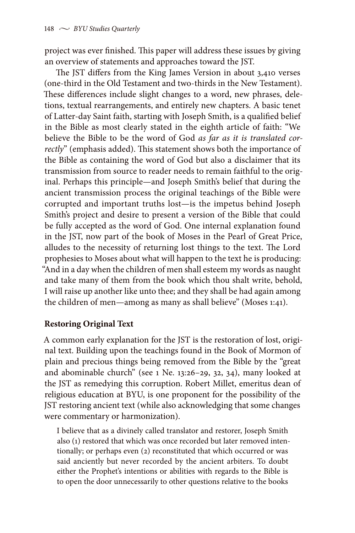project was ever finished. This paper will address these issues by giving an overview of statements and approaches toward the JST.

The JST differs from the King James Version in about 3,410 verses (one-third in the Old Testament and two-thirds in the New Testament). These differences include slight changes to a word, new phrases, deletions, textual rearrangements, and entirely new chapters. A basic tenet of Latter-day Saint faith, starting with Joseph Smith, is a qualified belief in the Bible as most clearly stated in the eighth article of faith: "We believe the Bible to be the word of God *as far as it is translated correctly*" (emphasis added). This statement shows both the importance of the Bible as containing the word of God but also a disclaimer that its transmission from source to reader needs to remain faithful to the original. Perhaps this principle—and Joseph Smith's belief that during the ancient transmission process the original teachings of the Bible were corrupted and important truths lost—is the impetus behind Joseph Smith's project and desire to present a version of the Bible that could be fully accepted as the word of God. One internal explanation found in the JST, now part of the book of Moses in the Pearl of Great Price, alludes to the necessity of returning lost things to the text. The Lord prophesies to Moses about what will happen to the text he is producing: "And in a day when the children of men shall esteem my words as naught and take many of them from the book which thou shalt write, behold, I will raise up another like unto thee; and they shall be had again among the children of men—among as many as shall believe" (Moses 1:41).

# **Restoring Original Text**

A common early explanation for the JST is the restoration of lost, original text. Building upon the teachings found in the Book of Mormon of plain and precious things being removed from the Bible by the "great and abominable church" (see 1 Ne. 13:26–29, 32, 34), many looked at the JST as remedying this corruption. Robert Millet, emeritus dean of religious education at BYU, is one proponent for the possibility of the JST restoring ancient text (while also acknowledging that some changes were commentary or harmonization).

I believe that as a divinely called translator and restorer, Joseph Smith also (1) restored that which was once recorded but later removed intentionally; or perhaps even (2) reconstituted that which occurred or was said anciently but never recorded by the ancient arbiters. To doubt either the Prophet's intentions or abilities with regards to the Bible is to open the door unnecessarily to other questions relative to the books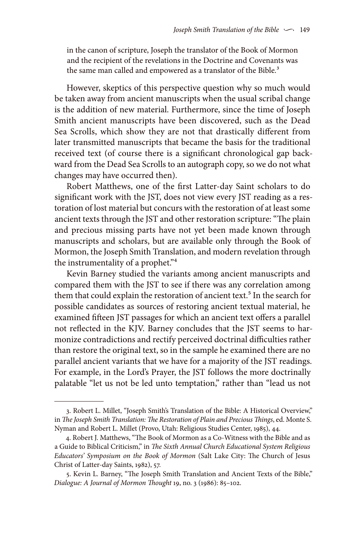in the canon of scripture, Joseph the translator of the Book of Mormon and the recipient of the revelations in the Doctrine and Covenants was the same man called and empowered as a translator of the Bible.<sup>3</sup>

However, skeptics of this perspective question why so much would be taken away from ancient manuscripts when the usual scribal change is the addition of new material. Furthermore, since the time of Joseph Smith ancient manuscripts have been discovered, such as the Dead Sea Scrolls, which show they are not that drastically different from later transmitted manuscripts that became the basis for the traditional received text (of course there is a significant chronological gap backward from the Dead Sea Scrolls to an autograph copy, so we do not what changes may have occurred then).

Robert Matthews, one of the first Latter-day Saint scholars to do significant work with the JST, does not view every JST reading as a restoration of lost material but concurs with the restoration of at least some ancient texts through the JST and other restoration scripture: "The plain and precious missing parts have not yet been made known through manuscripts and scholars, but are available only through the Book of Mormon, the Joseph Smith Translation, and modern revelation through the instrumentality of a prophet."4

Kevin Barney studied the variants among ancient manuscripts and compared them with the JST to see if there was any correlation among them that could explain the restoration of ancient text.<sup>5</sup> In the search for possible candidates as sources of restoring ancient textual material, he examined fifteen JST passages for which an ancient text offers a parallel not reflected in the KJV. Barney concludes that the JST seems to harmonize contradictions and rectify perceived doctrinal difficulties rather than restore the original text, so in the sample he examined there are no parallel ancient variants that we have for a majority of the JST readings. For example, in the Lord's Prayer, the JST follows the more doctrinally palatable "let us not be led unto temptation," rather than "lead us not

<sup>3.</sup> Robert L. Millet, "Joseph Smith's Translation of the Bible: A Historical Overview," in *The Joseph Smith Translation: The Restoration of Plain and Precious Things*, ed. Monte S. Nyman and Robert L. Millet (Provo, Utah: Religious Studies Center, 1985), 44.

<sup>4.</sup> Robert J. Matthews, "The Book of Mormon as a Co-Witness with the Bible and as a Guide to Biblical Criticism," in *The Sixth Annual Church Educational System Religious Educators' Symposium on the Book of Mormon* (Salt Lake City: The Church of Jesus Christ of Latter-day Saints, 1982), 57.

<sup>5.</sup> Kevin L. Barney, "The Joseph Smith Translation and Ancient Texts of the Bible," *Dialogue: A Journal of Mormon Thought* 19, no. 3 (1986): 85–102.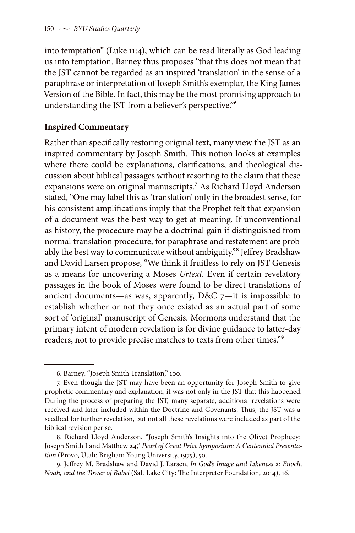into temptation" (Luke 11:4), which can be read literally as God leading us into temptation. Barney thus proposes "that this does not mean that the JST cannot be regarded as an inspired 'translation' in the sense of a paraphrase or interpretation of Joseph Smith's exemplar, the King James Version of the Bible. In fact, this may be the most promising approach to understanding the JST from a believer's perspective."6

# **Inspired Commentary**

Rather than specifically restoring original text, many view the JST as an inspired commentary by Joseph Smith. This notion looks at examples where there could be explanations, clarifications, and theological discussion about biblical passages without resorting to the claim that these expansions were on original manuscripts.7 As Richard Lloyd Anderson stated, "One may label this as 'translation' only in the broadest sense, for his consistent amplifications imply that the Prophet felt that expansion of a document was the best way to get at meaning. If unconventional as history, the procedure may be a doctrinal gain if distinguished from normal translation procedure, for paraphrase and restatement are probably the best way to communicate without ambiguity."8 Jeffrey Bradshaw and David Larsen propose, "We think it fruitless to rely on JST Genesis as a means for uncovering a Moses *Urtext.* Even if certain revelatory passages in the book of Moses were found to be direct translations of ancient documents—as was, apparently,  $D&C$  7—it is impossible to establish whether or not they once existed as an actual part of some sort of 'original' manuscript of Genesis. Mormons understand that the primary intent of modern revelation is for divine guidance to latter-day readers, not to provide precise matches to texts from other times."9

<sup>6.</sup> Barney, "Joseph Smith Translation," 100.

<sup>7.</sup> Even though the JST may have been an opportunity for Joseph Smith to give prophetic commentary and explanation, it was not only in the JST that this happened. During the process of preparing the JST, many separate, additional revelations were received and later included within the Doctrine and Covenants. Thus, the JST was a seedbed for further revelation, but not all these revelations were included as part of the biblical revision per se.

<sup>8.</sup> Richard Lloyd Anderson, "Joseph Smith's Insights into the Olivet Prophecy: Joseph Smith I and Matthew 24," *Pearl of Great Price Symposium: A Centennial Presentation* (Provo, Utah: Brigham Young University, 1975), 50.

<sup>9.</sup> Jeffrey M. Bradshaw and David J. Larsen, *In God's Image and Likeness 2: Enoch, Noah, and the Tower of Babel* (Salt Lake City: The Interpreter Foundation, 2014), 16.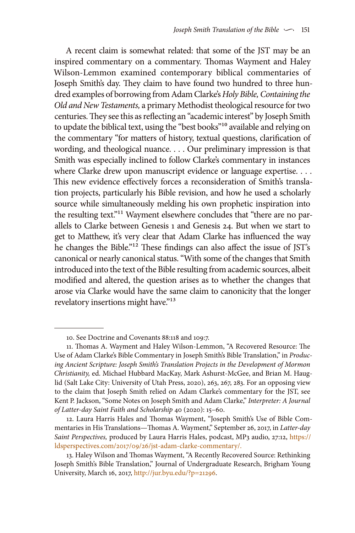A recent claim is somewhat related: that some of the JST may be an inspired commentary on a commentary. Thomas Wayment and Haley Wilson-Lemmon examined contemporary biblical commentaries of Joseph Smith's day. They claim to have found two hundred to three hundred examples of borrowing from Adam Clarke's *Holy Bible, Containing the Old and New Testaments,* a primary Methodist theological resource for two centuries. They see this as reflecting an "academic interest" by Joseph Smith to update the biblical text, using the "best books"<sup>10</sup> available and relying on the commentary "for matters of history, textual questions, clarification of wording, and theological nuance. . . . Our preliminary impression is that Smith was especially inclined to follow Clarke's commentary in instances where Clarke drew upon manuscript evidence or language expertise. . . . This new evidence effectively forces a reconsideration of Smith's translation projects, particularly his Bible revision, and how he used a scholarly source while simultaneously melding his own prophetic inspiration into the resulting text."11 Wayment elsewhere concludes that "there are no parallels to Clarke between Genesis 1 and Genesis 24. But when we start to get to Matthew, it's very clear that Adam Clarke has influenced the way he changes the Bible."<sup>12</sup> These findings can also affect the issue of JST's canonical or nearly canonical status. "With some of the changes that Smith introduced into the text of the Bible resulting from academic sources, albeit modified and altered, the question arises as to whether the changes that arose via Clarke would have the same claim to canonicity that the longer revelatory insertions might have."<sup>13</sup>

<sup>10.</sup> See Doctrine and Covenants 88:118 and 109:7.

<sup>11.</sup> Thomas A. Wayment and Haley Wilson-Lemmon, "A Recovered Resource: The Use of Adam Clarke's Bible Commentary in Joseph Smith's Bible Translation," in *Producing Ancient Scripture: Joseph Smith's Translation Projects in the Development of Mormon Christianity,* ed. Michael Hubbard MacKay, Mark Ashurst-McGee, and Brian M. Hauglid (Salt Lake City: University of Utah Press, 2020), 263, 267, 283. For an opposing view to the claim that Joseph Smith relied on Adam Clarke's commentary for the JST, see Kent P. Jackson, "Some Notes on Joseph Smith and Adam Clarke," *Interpreter: A Journal of Latter-day Saint Faith and Scholarship* 40 (2020): 15–60.

<sup>12.</sup> Laura Harris Hales and Thomas Wayment, "Joseph Smith's Use of Bible Commentaries in His Translations—Thomas A. Wayment," September 26, 2017, in *Latter-day Saint Perspectives,* produced by Laura Harris Hales, podcast, MP3 audio, 27:12, [https://](https://ldsperspectives.com/2017/09/26/jst-adam-clarke-commentary/) [ldsperspectives.com/2017/09/26/jst-adam-clarke-commentary/](https://ldsperspectives.com/2017/09/26/jst-adam-clarke-commentary/).

<sup>13.</sup> Haley Wilson and Thomas Wayment, "A Recently Recovered Source: Rethinking Joseph Smith's Bible Translation," Journal of Undergraduate Research, Brigham Young University, March 16, 2017, <http://jur.byu.edu/?p=21296>.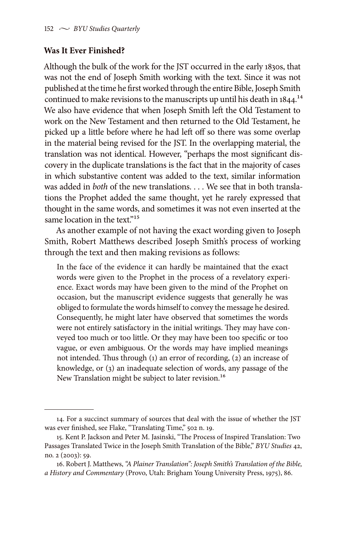## **Was It Ever Finished?**

Although the bulk of the work for the JST occurred in the early 1830s, that was not the end of Joseph Smith working with the text. Since it was not published at the time he first worked through the entire Bible, Joseph Smith continued to make revisions to the manuscripts up until his death in  $1844$ <sup>14</sup> We also have evidence that when Joseph Smith left the Old Testament to work on the New Testament and then returned to the Old Testament, he picked up a little before where he had left off so there was some overlap in the material being revised for the JST. In the overlapping material, the translation was not identical. However, "perhaps the most significant discovery in the duplicate translations is the fact that in the majority of cases in which substantive content was added to the text, similar information was added in *hoth* of the new translations. We see that in both translations the Prophet added the same thought, yet he rarely expressed that thought in the same words, and sometimes it was not even inserted at the same location in the text."<sup>15</sup>

As another example of not having the exact wording given to Joseph Smith, Robert Matthews described Joseph Smith's process of working through the text and then making revisions as follows:

In the face of the evidence it can hardly be maintained that the exact words were given to the Prophet in the process of a revelatory experience. Exact words may have been given to the mind of the Prophet on occasion, but the manuscript evidence suggests that generally he was obliged to formulate the words himself to convey the message he desired. Consequently, he might later have observed that sometimes the words were not entirely satisfactory in the initial writings. They may have conveyed too much or too little. Or they may have been too specific or too vague, or even ambiguous. Or the words may have implied meanings not intended. Thus through (1) an error of recording, (2) an increase of knowledge, or (3) an inadequate selection of words, any passage of the New Translation might be subject to later revision.<sup>16</sup>

<sup>14.</sup> For a succinct summary of sources that deal with the issue of whether the JST was ever finished, see Flake, "Translating Time," 502 n. 19.

<sup>15.</sup> Kent P. Jackson and Peter M. Jasinski, "The Process of Inspired Translation: Two Passages Translated Twice in the Joseph Smith Translation of the Bible," *BYU Studies* 42, no. 2 (2003): 59.

<sup>16.</sup> Robert J. Matthews, *"A Plainer Translation": Joseph Smith's Translation of the Bible, a History and Commentary* (Provo, Utah: Brigham Young University Press, 1975), 86.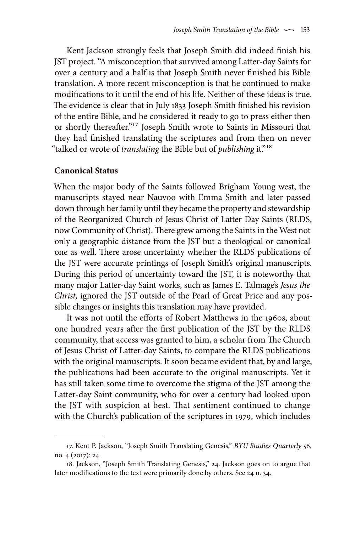Kent Jackson strongly feels that Joseph Smith did indeed finish his JST project. "A misconception that survived among Latter-day Saints for over a century and a half is that Joseph Smith never finished his Bible translation. A more recent misconception is that he continued to make modifications to it until the end of his life. Neither of these ideas is true. The evidence is clear that in July 1833 Joseph Smith finished his revision of the entire Bible, and he considered it ready to go to press either then or shortly thereafter."17 Joseph Smith wrote to Saints in Missouri that they had finished translating the scriptures and from then on never "talked or wrote of *translating* the Bible but of *publishing* it."18

#### **Canonical Status**

When the major body of the Saints followed Brigham Young west, the manuscripts stayed near Nauvoo with Emma Smith and later passed down through her family until they became the property and stewardship of the Reorganized Church of Jesus Christ of Latter Day Saints (RLDS, now Community of Christ). There grew among the Saints in the West not only a geographic distance from the JST but a theological or canonical one as well. There arose uncertainty whether the RLDS publications of the JST were accurate printings of Joseph Smith's original manuscripts. During this period of uncertainty toward the JST, it is noteworthy that many major Latter-day Saint works, such as James E. Talmage's *Jesus the Christ,* ignored the JST outside of the Pearl of Great Price and any possible changes or insights this translation may have provided.

It was not until the efforts of Robert Matthews in the 1960s, about one hundred years after the first publication of the JST by the RLDS community, that access was granted to him, a scholar from The Church of Jesus Christ of Latter-day Saints, to compare the RLDS publications with the original manuscripts. It soon became evident that, by and large, the publications had been accurate to the original manuscripts. Yet it has still taken some time to overcome the stigma of the JST among the Latter-day Saint community, who for over a century had looked upon the JST with suspicion at best. That sentiment continued to change with the Church's publication of the scriptures in 1979, which includes

<sup>17.</sup> Kent P. Jackson, "Joseph Smith Translating Genesis," *BYU Studies Quarterly* 56, no. 4 (2017): 24.

<sup>18.</sup> Jackson, "Joseph Smith Translating Genesis," 24. Jackson goes on to argue that later modifications to the text were primarily done by others. See 24 n. 34.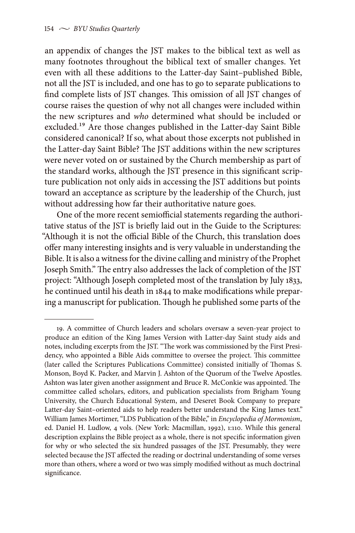an appendix of changes the JST makes to the biblical text as well as many footnotes throughout the biblical text of smaller changes. Yet even with all these additions to the Latter-day Saint–published Bible, not all the JST is included, and one has to go to separate publications to find complete lists of JST changes. This omission of all JST changes of course raises the question of why not all changes were included within the new scriptures and *who* determined what should be included or excluded.19 Are those changes published in the Latter-day Saint Bible considered canonical? If so, what about those excerpts not published in the Latter-day Saint Bible? The JST additions within the new scriptures were never voted on or sustained by the Church membership as part of the standard works, although the JST presence in this significant scripture publication not only aids in accessing the JST additions but points toward an acceptance as scripture by the leadership of the Church, just without addressing how far their authoritative nature goes.

One of the more recent semiofficial statements regarding the authoritative status of the JST is briefly laid out in the Guide to the Scriptures: "Although it is not the official Bible of the Church, this translation does offer many interesting insights and is very valuable in understanding the Bible. It is also a witness for the divine calling and ministry of the Prophet Joseph Smith." The entry also addresses the lack of completion of the JST project: "Although Joseph completed most of the translation by July 1833, he continued until his death in 1844 to make modifications while preparing a manuscript for publication. Though he published some parts of the

<sup>19.</sup> A committee of Church leaders and scholars oversaw a seven-year project to produce an edition of the King James Version with Latter-day Saint study aids and notes, including excerpts from the JST. "The work was commissioned by the First Presidency, who appointed a Bible Aids committee to oversee the project. This committee (later called the Scriptures Publications Committee) consisted initially of Thomas S. Monson, Boyd K. Packer, and Marvin J. Ashton of the Quorum of the Twelve Apostles. Ashton was later given another assignment and Bruce R. McConkie was appointed. The committee called scholars, editors, and publication specialists from Brigham Young University, the Church Educational System, and Deseret Book Company to prepare Latter-day Saint–oriented aids to help readers better understand the King James text." William James Mortimer, "LDS Publication of the Bible," in *Encyclopedia of Mormonism*, ed. Daniel H. Ludlow, 4 vols. (New York: Macmillan, 1992), 1:110. While this general description explains the Bible project as a whole, there is not specific information given for why or who selected the six hundred passages of the JST. Presumably, they were selected because the JST affected the reading or doctrinal understanding of some verses more than others, where a word or two was simply modified without as much doctrinal significance.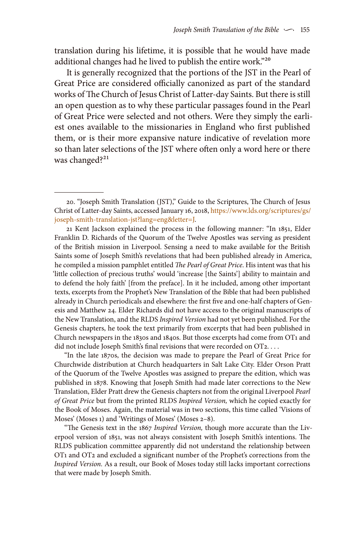translation during his lifetime, it is possible that he would have made additional changes had he lived to publish the entire work."20

It is generally recognized that the portions of the JST in the Pearl of Great Price are considered officially canonized as part of the standard works of The Church of Jesus Christ of Latter-day Saints. But there is still an open question as to why these particular passages found in the Pearl of Great Price were selected and not others. Were they simply the earliest ones available to the missionaries in England who first published them, or is their more expansive nature indicative of revelation more so than later selections of the JST where often only a word here or there was changed?<sup>21</sup>

21 Kent Jackson explained the process in the following manner: "In 1851, Elder Franklin D. Richards of the Quorum of the Twelve Apostles was serving as president of the British mission in Liverpool. Sensing a need to make available for the British Saints some of Joseph Smith's revelations that had been published already in America, he compiled a mission pamphlet entitled *The Pearl of Great Price*. His intent was that his 'little collection of precious truths' would 'increase [the Saints'] ability to maintain and to defend the holy faith' [from the preface]. In it he included, among other important texts, excerpts from the Prophet's New Translation of the Bible that had been published already in Church periodicals and elsewhere: the first five and one-half chapters of Genesis and Matthew 24. Elder Richards did not have access to the original manuscripts of the New Translation, and the RLDS *Inspired Version* had not yet been published. For the Genesis chapters, he took the text primarily from excerpts that had been published in Church newspapers in the 1830s and 1840s. But those excerpts had come from OT1 and did not include Joseph Smith's final revisions that were recorded on OT2. . . .

"In the late 1870s, the decision was made to prepare the Pearl of Great Price for Churchwide distribution at Church headquarters in Salt Lake City. Elder Orson Pratt of the Quorum of the Twelve Apostles was assigned to prepare the edition, which was published in 1878. Knowing that Joseph Smith had made later corrections to the New Translation, Elder Pratt drew the Genesis chapters not from the original Liverpool *Pearl of Great Price* but from the printed RLDS *Inspired Version,* which he copied exactly for the Book of Moses. Again, the material was in two sections, this time called 'Visions of Moses' (Moses 1) and 'Writings of Moses' (Moses 2–8).

"The Genesis text in the 1867 *Inspired Version,* though more accurate than the Liverpool version of 1851, was not always consistent with Joseph Smith's intentions. The RLDS publication committee apparently did not understand the relationship between OT1 and OT2 and excluded a significant number of the Prophet's corrections from the *Inspired Version.* As a result, our Book of Moses today still lacks important corrections that were made by Joseph Smith.

<sup>20. &</sup>quot;Joseph Smith Translation (JST)," Guide to the Scriptures, The Church of Jesus Christ of Latter-day Saints, accessed January 16, 2018, [https://www.lds.org/scriptures/gs/](https://www.lds.org/scriptures/gs/joseph-smith-translation-jst?lang=eng&letter=J) [joseph-smith-translation-jst?lang=eng&letter=J.](https://www.lds.org/scriptures/gs/joseph-smith-translation-jst?lang=eng&letter=J)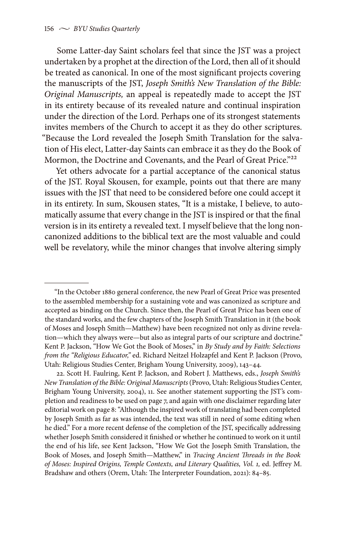Some Latter-day Saint scholars feel that since the JST was a project undertaken by a prophet at the direction of the Lord, then all of it should be treated as canonical. In one of the most significant projects covering the manuscripts of the JST, *Joseph Smith's New Translation of the Bible: Original Manuscripts,* an appeal is repeatedly made to accept the JST in its entirety because of its revealed nature and continual inspiration under the direction of the Lord. Perhaps one of its strongest statements invites members of the Church to accept it as they do other scriptures. "Because the Lord revealed the Joseph Smith Translation for the salvation of His elect, Latter-day Saints can embrace it as they do the Book of Mormon, the Doctrine and Covenants, and the Pearl of Great Price."<sup>22</sup>

Yet others advocate for a partial acceptance of the canonical status of the JST. Royal Skousen, for example, points out that there are many issues with the JST that need to be considered before one could accept it in its entirety. In sum, Skousen states, "It is a mistake, I believe, to automatically assume that every change in the JST is inspired or that the final version is in its entirety a revealed text. I myself believe that the long noncanonized additions to the biblical text are the most valuable and could well be revelatory, while the minor changes that involve altering simply

<sup>&</sup>quot;In the October 1880 general conference, the new Pearl of Great Price was presented to the assembled membership for a sustaining vote and was canonized as scripture and accepted as binding on the Church. Since then, the Pearl of Great Price has been one of the standard works, and the few chapters of the Joseph Smith Translation in it (the book of Moses and Joseph Smith—Matthew) have been recognized not only as divine revelation—which they always were—but also as integral parts of our scripture and doctrine." Kent P. Jackson, "How We Got the Book of Moses," in *By Study and by Faith: Selections from the "Religious Educator,"* ed. Richard Neitzel Holzapfel and Kent P. Jackson (Provo, Utah: Religious Studies Center, Brigham Young University, 2009), 143–44.

<sup>22.</sup> Scott H. Faulring, Kent P. Jackson, and Robert J. Matthews, eds., *Joseph Smith's New Translation of the Bible: Original Manuscripts* (Provo, Utah: Religious Studies Center, Brigham Young University, 2004), 11. See another statement supporting the JST's completion and readiness to be used on page 7, and again with one disclaimer regarding later editorial work on page 8: "Although the inspired work of translating had been completed by Joseph Smith as far as was intended, the text was still in need of some editing when he died." For a more recent defense of the completion of the JST, specifically addressing whether Joseph Smith considered it finished or whether he continued to work on it until the end of his life, see Kent Jackson, "How We Got the Joseph Smith Translation, the Book of Moses, and Joseph Smith—Matthew," in *Tracing Ancient Threads in the Book of Moses: Inspired Origins, Temple Contexts, and Literary Qualities, Vol. 1,* ed. Jeffrey M. Bradshaw and others (Orem, Utah: The Interpreter Foundation, 2021): 84–85.